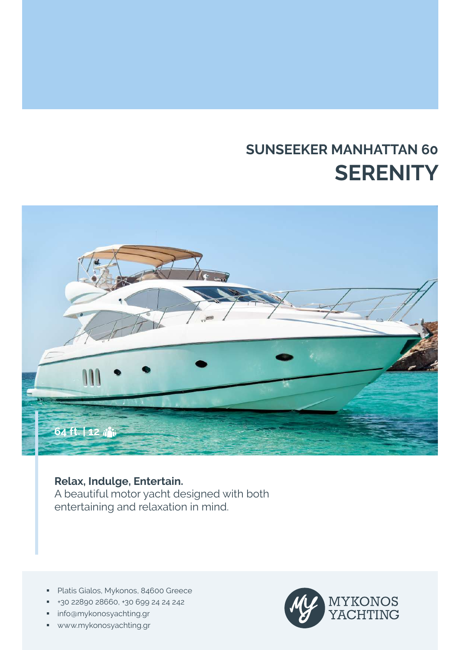# **SUNSEEKER MANHATTAN 60 SERENITY**



# **Relax, Indulge, Entertain.**

A beautiful motor yacht designed with both entertaining and relaxation in mind.

- **Platis Gialos, Mykonos, 84600 Greece**
- +30 22890 28660, +30 699 24 24 242
- **·** info@mykonosyachting.gr
- www.mykonosyachting.gr

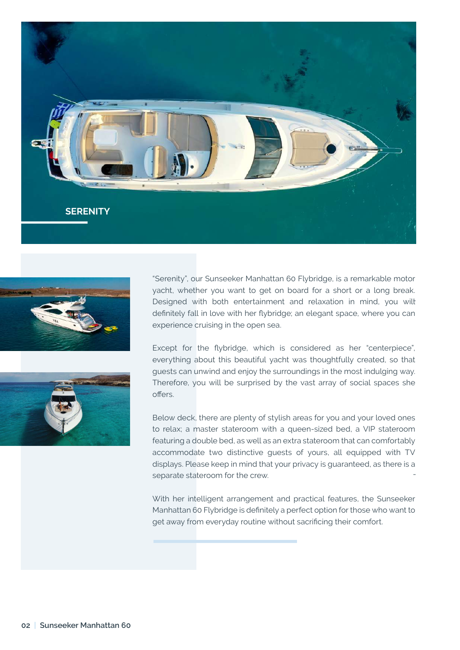





"Serenity", our Sunseeker Manhattan 60 Flybridge, is a remarkable motor yacht, whether you want to get on board for a short or a long break. Designed with both entertainment and relaxation in mind, you wilt definitely fall in love with her flybridge; an elegant space, where you can experience cruising in the open sea.

Except for the flybridge, which is considered as her "centerpiece", everything about this beautiful yacht was thoughtfully created, so that guests can unwind and enjoy the surroundings in the most indulging way. Therefore, you will be surprised by the vast array of social spaces she offers.

Below deck, there are plenty of stylish areas for you and your loved ones to relax; a master stateroom with a queen-sized bed, a VIP stateroom featuring a double bed, as well as an extra stateroom that can comfortably accommodate two distinctive guests of yours, all equipped with TV displays. Please keep in mind that your privacy is guaranteed, as there is a separate stateroom for the crew. -

With her intelligent arrangement and practical features, the Sunseeker Manhattan 60 Flybridge is definitely a perfect option for those who want to get away from everyday routine without sacrificing their comfort.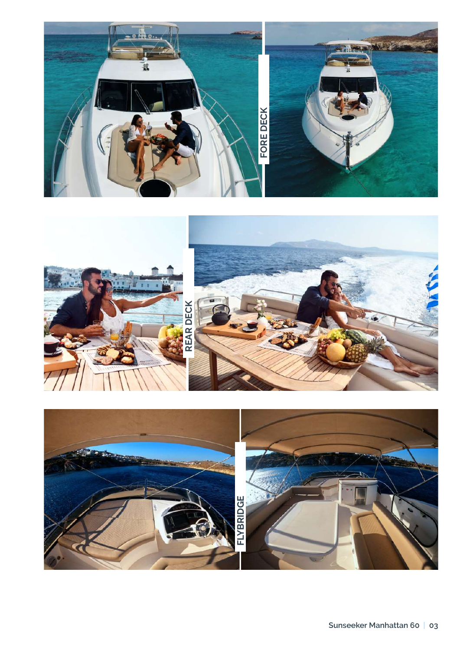



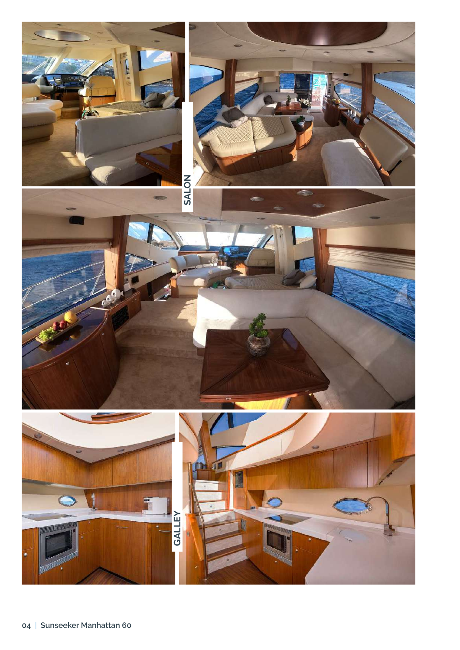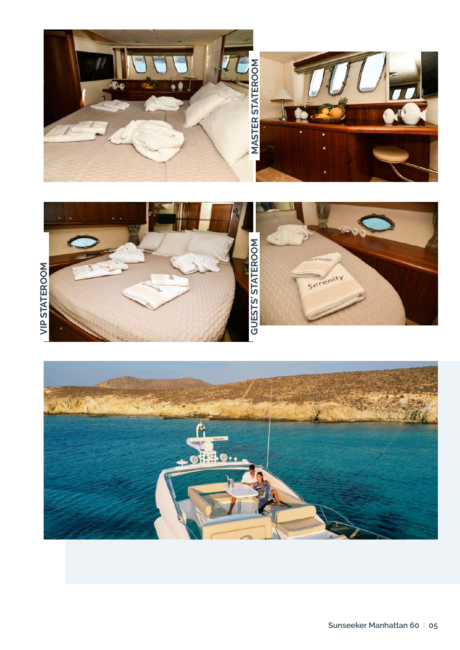





Sunseeker Manhattan 60 | 05